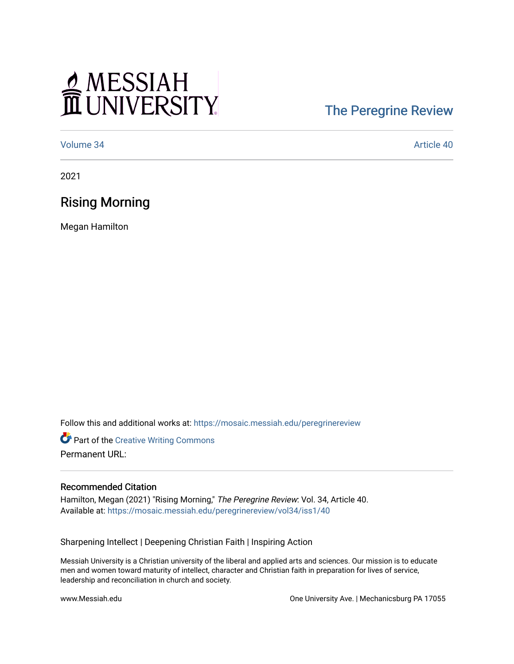# MESSIAH

# [The Peregrine Review](https://mosaic.messiah.edu/peregrinereview)

[Volume 34](https://mosaic.messiah.edu/peregrinereview/vol34) Article 40

2021

### Rising Morning

Megan Hamilton

Follow this and additional works at: [https://mosaic.messiah.edu/peregrinereview](https://mosaic.messiah.edu/peregrinereview?utm_source=mosaic.messiah.edu%2Fperegrinereview%2Fvol34%2Fiss1%2F40&utm_medium=PDF&utm_campaign=PDFCoverPages) 

**Part of the Creative Writing Commons** Permanent URL:

#### Recommended Citation

Hamilton, Megan (2021) "Rising Morning," The Peregrine Review: Vol. 34, Article 40. Available at: [https://mosaic.messiah.edu/peregrinereview/vol34/iss1/40](https://mosaic.messiah.edu/peregrinereview/vol34/iss1/40?utm_source=mosaic.messiah.edu%2Fperegrinereview%2Fvol34%2Fiss1%2F40&utm_medium=PDF&utm_campaign=PDFCoverPages)

Sharpening Intellect | Deepening Christian Faith | Inspiring Action

Messiah University is a Christian university of the liberal and applied arts and sciences. Our mission is to educate men and women toward maturity of intellect, character and Christian faith in preparation for lives of service, leadership and reconciliation in church and society.

www.Messiah.edu One University Ave. | Mechanicsburg PA 17055